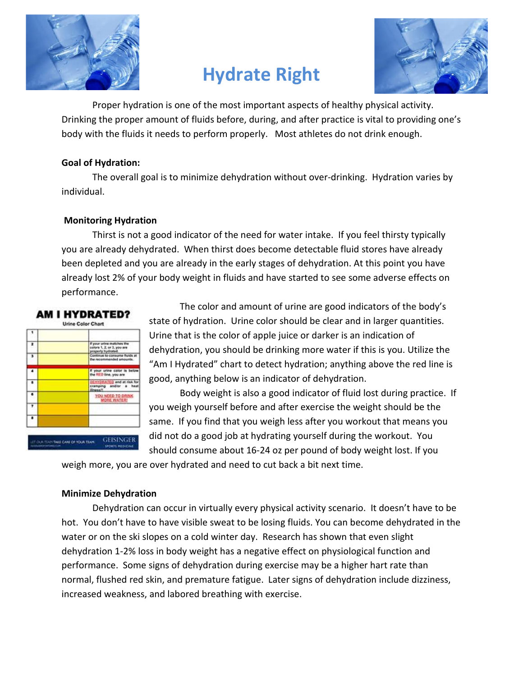

# Hydrate Right



 Proper hydration is one of the most important aspects of healthy physical activity. Drinking the proper amount of fluids before, during, and after practice is vital to providing one's body with the fluids it needs to perform properly. Most athletes do not drink enough.

## Goal of Hydration:

 The overall goal is to minimize dehydration without over-drinking. Hydration varies by individual.

## Monitoring Hydration

 Thirst is not a good indicator of the need for water intake. If you feel thirsty typically you are already dehydrated. When thirst does become detectable fluid stores have already been depleted and you are already in the early stages of dehydration. At this point you have already lost 2% of your body weight in fluids and have started to see some adverse effects on performance.



 The color and amount of urine are good indicators of the body's state of hydration. Urine color should be clear and in larger quantities. Urine that is the color of apple juice or darker is an indication of dehydration, you should be drinking more water if this is you. Utilize the "Am I Hydrated" chart to detect hydration; anything above the red line is good, anything below is an indicator of dehydration.

 Body weight is also a good indicator of fluid lost during practice. If you weigh yourself before and after exercise the weight should be the same. If you find that you weigh less after you workout that means you did not do a good job at hydrating yourself during the workout. You should consume about 16-24 oz per pound of body weight lost. If you

weigh more, you are over hydrated and need to cut back a bit next time.

#### Minimize Dehydration

Dehydration can occur in virtually every physical activity scenario. It doesn't have to be hot. You don't have to have visible sweat to be losing fluids. You can become dehydrated in the water or on the ski slopes on a cold winter day. Research has shown that even slight dehydration 1-2% loss in body weight has a negative effect on physiological function and performance. Some signs of dehydration during exercise may be a higher hart rate than normal, flushed red skin, and premature fatigue. Later signs of dehydration include dizziness, increased weakness, and labored breathing with exercise.